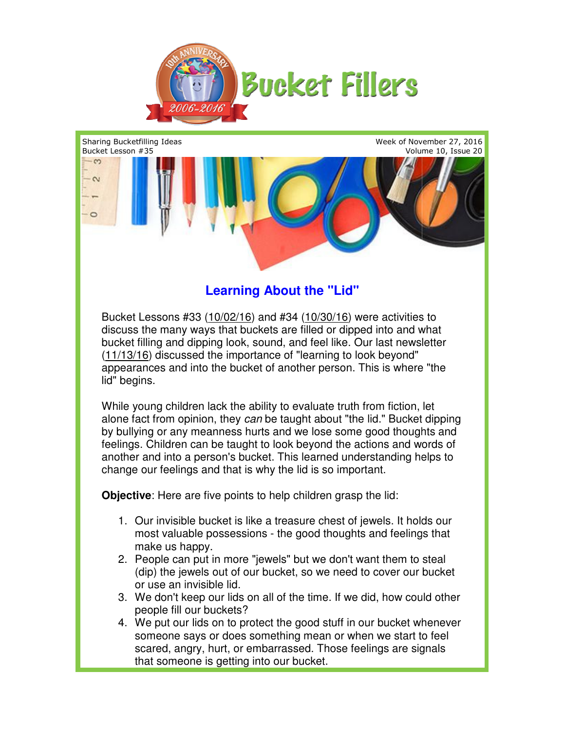



## **Learning About the "Lid"**

Bucket Lessons #33 (10/02/16) and #34 (10/30/16) were activities to discuss the many ways that buckets are filled or dipped into and what bucket filling and dipping look, sound, and feel like. Our last newsletter (11/13/16) discussed the importance of "learning to look beyond" appearances and into the bucket of another person. This is where "the lid" begins. (11/13/16) discussed the importance of "learning to look beyond"<br>appearances and into the bucket of another person. This is where "the<br>lid" begins.<br>While young children lack the ability to evaluate truth from fiction, let

alone fact from opinion, they can be taught about "the lid." Bucket dipping by bullying or any meanness hurts and we lose some good thoughts and feelings. Children can be taught to look beyond the actions and words of another and into a person's bucket. This learned understanding helps to change our feelings and that is why the lid is so important. I, and feel like. Our last newsletter<br>
of "learning to look beyond"<br>
another person. This is where "the<br>
to evaluate truth from fiction, let<br>
taught about "the lid." Bucket dippin<br>
md we lose some good thoughts anc<br>
ook be

**Objective**: Here are five points to help children grasp the lid:

- **jective**: Here are five points to help children grasp the lid:<br>1. Our invisible bucket is like a treasure chest of jewels. It holds our most valuable possessions - the good thoughts and feelings that make us happy.
- 2. People can put in more "jewels" but we don't want them to steal People can put in more "jewels" but we don't want them to steal<br>(dip) the jewels out of our bucket, so we need to cover our bucket or use an invisible lid.
- 3. We don't keep our lids on all of the time. If we did, how could other people fill our buckets?
- 4. We put our lids on to protect the good stuff in our bucket whenever someone says or does something mean or when we start to feel scared, angry, hurt, or embarrassed. Those feelings are signals that someone is getting into our bucket. our lids on all of the time. If we did, how could other<br>buckets?<br>on to protect the good stuff in our bucket whenever<br>or does something mean or when we start to feel<br>hurt, or embarrassed. Those feelings are signals